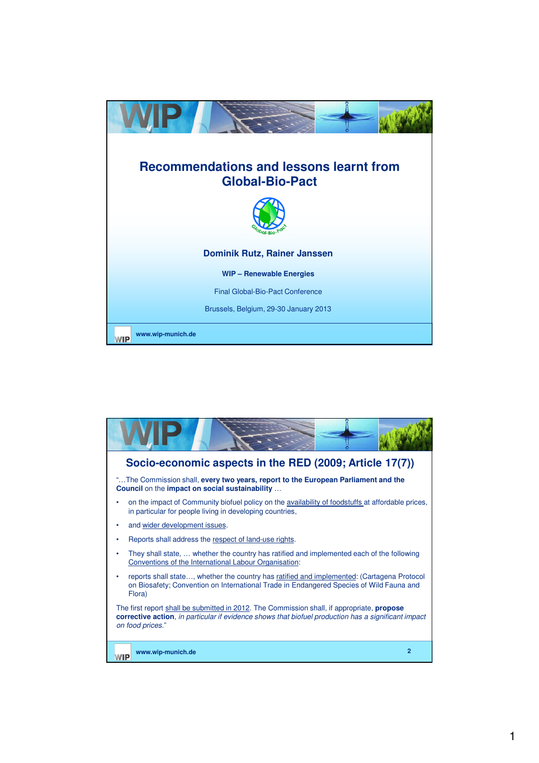

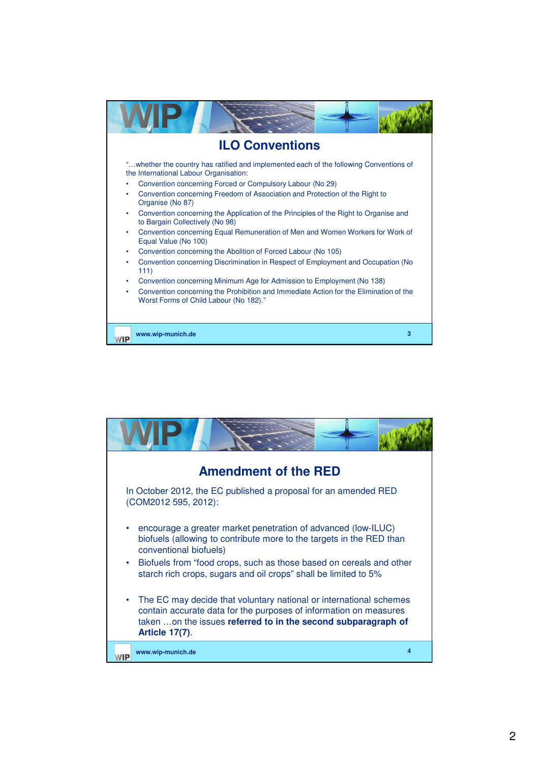

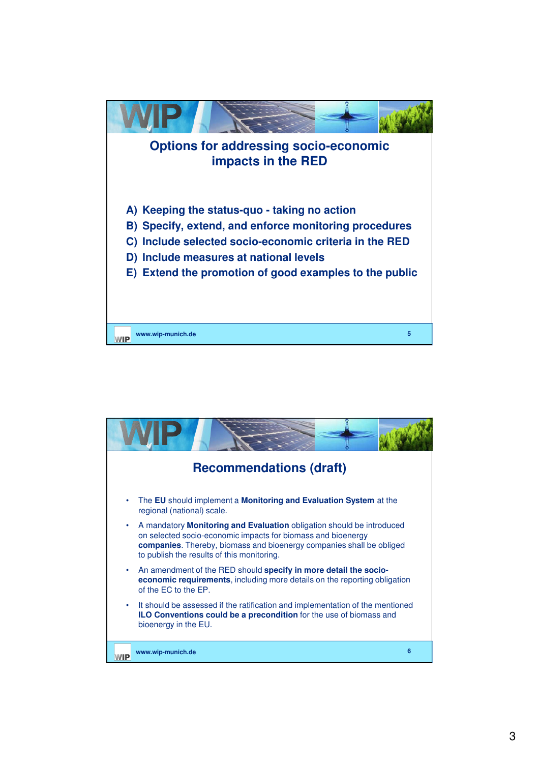